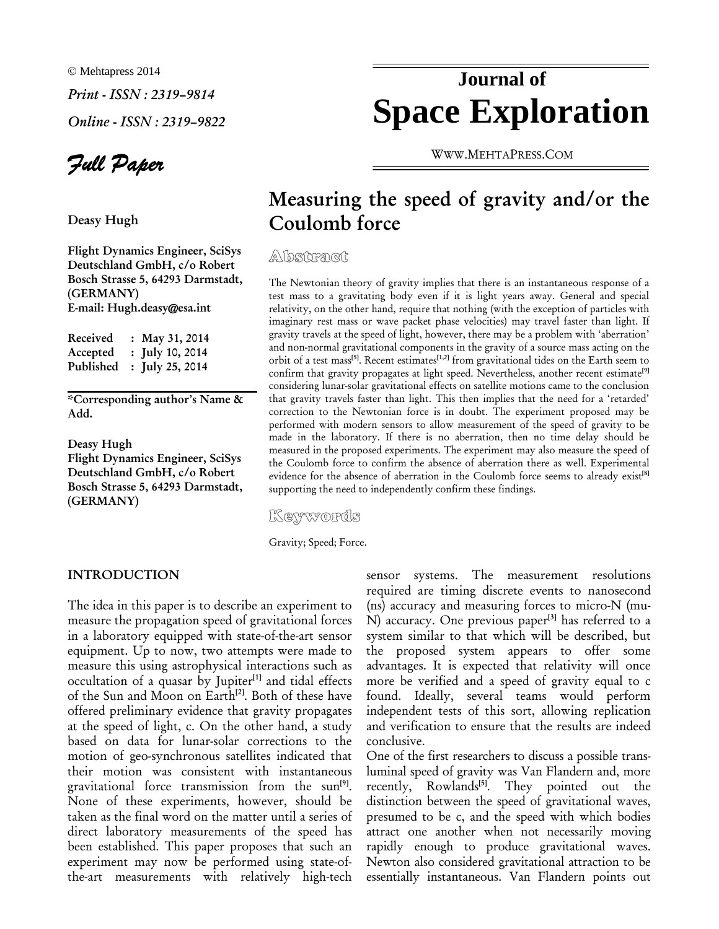© Mehtapress 2014 *Print - ISSN : 2319–9814 Online - ISSN : 2319–9822* 

*Full Paper*

Deasy Hugh

Flight Dynamics Engineer, SciSys Deutschland GmbH, c/o Robert Bosch Strasse 5, 64293 Darmstadt, (GERMANY) E-mail: Hugh.deasy@esa.int

Received : May 31, 2014 Accepted : July 10, 2014 Published : July 25, 2014

\*Corresponding author's Name & Add.

Deasy Hugh Flight Dynamics Engineer, SciSys Deutschland GmbH, c/o Robert Bosch Strasse 5, 64293 Darmstadt, (GERMANY)

# **Journal of Space Exploration**

WWW.MEHTAPRESS.COM

# Measuring the speed of gravity and/or the Coulomb force

**Abstract** 

The Newtonian theory of gravity implies that there is an instantaneous response of a test mass to a gravitating body even if it is light years away. General and special relativity, on the other hand, require that nothing (with the exception of particles with imaginary rest mass or wave packet phase velocities) may travel faster than light. If gravity travels at the speed of light, however, there may be a problem with 'aberration' and non-normal gravitational components in the gravity of a source mass acting on the orbit of a test mass<sup>[5]</sup>. Recent estimates<sup>[1,2]</sup> from gravitational tides on the Earth seem to confirm that gravity propagates at light speed. Nevertheless, another recent estimate<sup>[9]</sup> considering lunar-solar gravitational effects on satellite motions came to the conclusion that gravity travels faster than light. This then implies that the need for a 'retarded' correction to the Newtonian force is in doubt. The experiment proposed may be performed with modern sensors to allow measurement of the speed of gravity to be made in the laboratory. If there is no aberration, then no time delay should be measured in the proposed experiments. The experiment may also measure the speed of the Coulomb force to confirm the absence of aberration there as well. Experimental evidence for the absence of aberration in the Coulomb force seems to already exist<sup>[8]</sup> supporting the need to independently confirm these findings.

Keywords

Gravity; Speed; Force.

#### INTRODUCTION

The idea in this paper is to describe an experiment to measure the propagation speed of gravitational forces in a laboratory equipped with state-of-the-art sensor equipment. Up to now, two attempts were made to measure this using astrophysical interactions such as occultation of a quasar by Jupiter $[1]$  and tidal effects of the Sun and Moon on Earth<sup>[2]</sup>. Both of these have offered preliminary evidence that gravity propagates at the speed of light, c. On the other hand, a study based on data for lunar-solar corrections to the motion of geo-synchronous satellites indicated that their motion was consistent with instantaneous gravitational force transmission from the sun<sup>[9]</sup>. None of these experiments, however, should be taken as the final word on the matter until a series of direct laboratory measurements of the speed has been established. This paper proposes that such an experiment may now be performed using state-ofthe-art measurements with relatively high-tech

sensor systems. The measurement resolutions required are timing discrete events to nanosecond (ns) accuracy and measuring forces to micro-N (mu-N) accuracy. One previous paper<sup>[3]</sup> has referred to a system similar to that which will be described, but the proposed system appears to offer some advantages. It is expected that relativity will once more be verified and a speed of gravity equal to c found. Ideally, several teams would perform independent tests of this sort, allowing replication and verification to ensure that the results are indeed conclusive.

One of the first researchers to discuss a possible transluminal speed of gravity was Van Flandern and, more recently, Rowlands<sup>[5]</sup>. They pointed out the distinction between the speed of gravitational waves, presumed to be c, and the speed with which bodies attract one another when not necessarily moving rapidly enough to produce gravitational waves. Newton also considered gravitational attraction to be essentially instantaneous. Van Flandern points out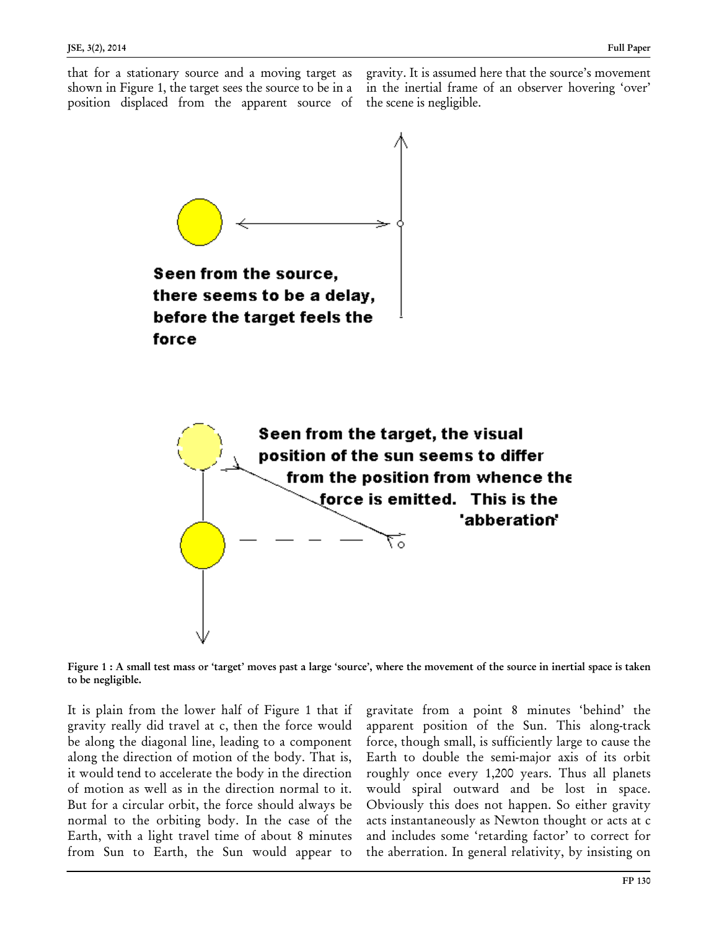that for a stationary source and a moving target as shown in Figure 1, the target sees the source to be in a position displaced from the apparent source of gravity. It is assumed here that the source's movement in the inertial frame of an observer hovering 'over' the scene is negligible.



Seen from the source, there seems to be a delay, before the target feels the force



Figure 1 : A small test mass or 'target' moves past a large 'source', where the movement of the source in inertial space is taken to be negligible.

It is plain from the lower half of Figure 1 that if gravity really did travel at c, then the force would be along the diagonal line, leading to a component along the direction of motion of the body. That is, it would tend to accelerate the body in the direction of motion as well as in the direction normal to it. But for a circular orbit, the force should always be normal to the orbiting body. In the case of the Earth, with a light travel time of about 8 minutes from Sun to Earth, the Sun would appear to

l.

gravitate from a point 8 minutes 'behind' the apparent position of the Sun. This along-track force, though small, is sufficiently large to cause the Earth to double the semi-major axis of its orbit roughly once every 1,200 years. Thus all planets would spiral outward and be lost in space. Obviously this does not happen. So either gravity acts instantaneously as Newton thought or acts at c and includes some 'retarding factor' to correct for the aberration. In general relativity, by insisting on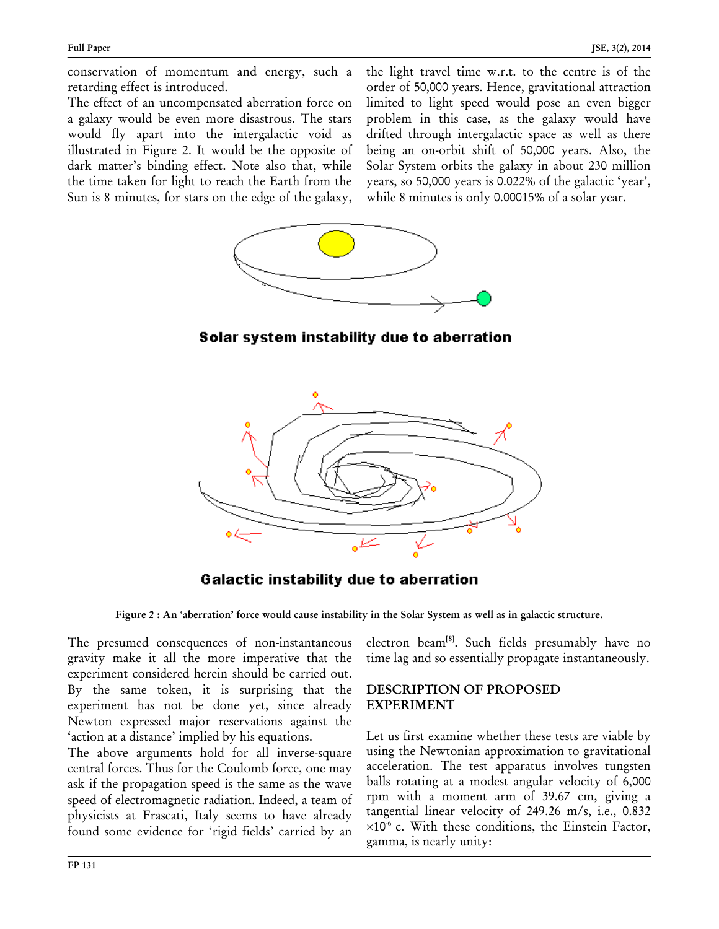conservation of momentum and energy, such a retarding effect is introduced.

The effect of an uncompensated aberration force on a galaxy would be even more disastrous. The stars would fly apart into the intergalactic void as illustrated in Figure 2. It would be the opposite of dark matter's binding effect. Note also that, while the time taken for light to reach the Earth from the Sun is 8 minutes, for stars on the edge of the galaxy, the light travel time w.r.t. to the centre is of the order of 50,000 years. Hence, gravitational attraction limited to light speed would pose an even bigger problem in this case, as the galaxy would have drifted through intergalactic space as well as there being an on-orbit shift of 50,000 years. Also, the Solar System orbits the galaxy in about 230 million years, so 50,000 years is 0.022% of the galactic 'year', while 8 minutes is only 0.00015% of a solar year.



Solar system instability due to aberration



**Galactic instability due to aberration** 

Figure 2 : An 'aberration' force would cause instability in the Solar System as well as in galactic structure.

The presumed consequences of non-instantaneous gravity make it all the more imperative that the experiment considered herein should be carried out. By the same token, it is surprising that the experiment has not be done yet, since already Newton expressed major reservations against the 'action at a distance' implied by his equations.

The above arguments hold for all inverse-square central forces. Thus for the Coulomb force, one may ask if the propagation speed is the same as the wave speed of electromagnetic radiation. Indeed, a team of physicists at Frascati, Italy seems to have already found some evidence for 'rigid fields' carried by an

electron beam<sup>[8]</sup>. Such fields presumably have no time lag and so essentially propagate instantaneously.

# DESCRIPTION OF PROPOSED EXPERIMENT

Let us first examine whether these tests are viable by using the Newtonian approximation to gravitational acceleration. The test apparatus involves tungsten balls rotating at a modest angular velocity of 6,000 rpm with a moment arm of 39.67 cm, giving a tangential linear velocity of 249.26 m/s, i.e., 0.832  $\times 10^{-6}$  c. With these conditions, the Einstein Factor, gamma, is nearly unity: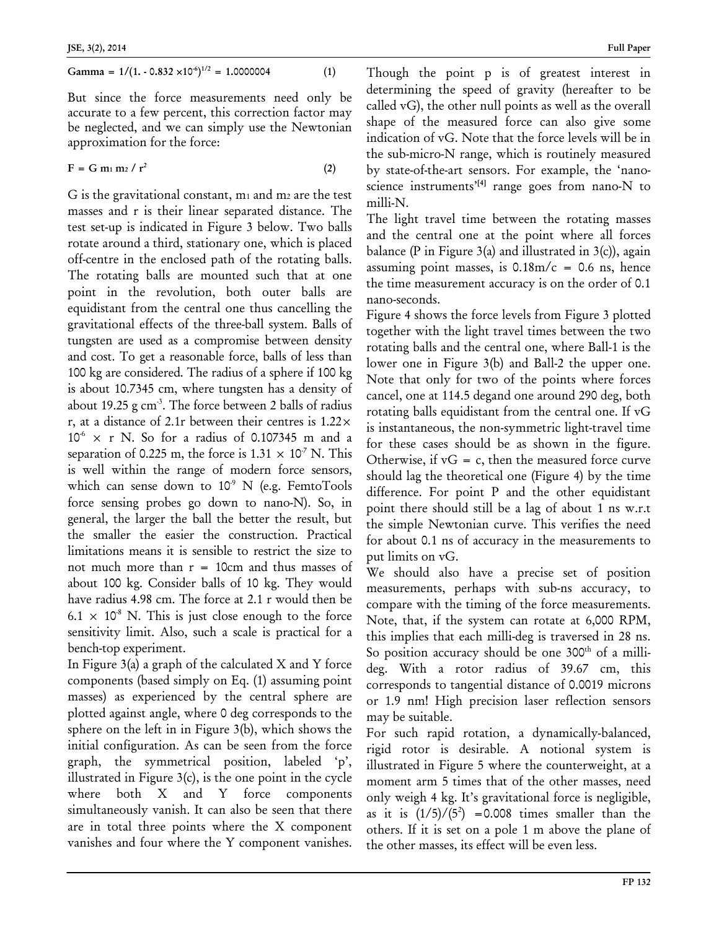$$
Gamma = 1/(1. - 0.832 \times 10^{-6})^{1/2} = 1.0000004
$$
 (1)

But since the force measurements need only be accurate to a few percent, this correction factor may be neglected, and we can simply use the Newtonian approximation for the force:

$$
F = G m_1 m_2 / r^2 \tag{2}
$$

G is the gravitational constant,  $m_1$  and  $m_2$  are the test masses and r is their linear separated distance. The test set-up is indicated in Figure 3 below. Two balls rotate around a third, stationary one, which is placed off-centre in the enclosed path of the rotating balls. The rotating balls are mounted such that at one point in the revolution, both outer balls are equidistant from the central one thus cancelling the gravitational effects of the three-ball system. Balls of tungsten are used as a compromise between density and cost. To get a reasonable force, balls of less than 100 kg are considered. The radius of a sphere if 100 kg is about 10.7345 cm, where tungsten has a density of about 19.25 g  $cm<sup>3</sup>$ . The force between 2 balls of radius r, at a distance of 2.1r between their centres is 1.22×  $10^6$  x r N. So for a radius of 0.107345 m and a separation of 0.225 m, the force is  $1.31 \times 10^7$  N. This is well within the range of modern force sensors, which can sense down to  $10^9$  N (e.g. FemtoTools force sensing probes go down to nano-N). So, in general, the larger the ball the better the result, but the smaller the easier the construction. Practical limitations means it is sensible to restrict the size to not much more than  $r = 10$ cm and thus masses of about 100 kg. Consider balls of 10 kg. They would have radius 4.98 cm. The force at 2.1 r would then be  $6.1 \times 10^8$  N. This is just close enough to the force sensitivity limit. Also, such a scale is practical for a bench-top experiment.

In Figure 3(a) a graph of the calculated X and Y force components (based simply on Eq. (1) assuming point masses) as experienced by the central sphere are plotted against angle, where 0 deg corresponds to the sphere on the left in in Figure 3(b), which shows the initial configuration. As can be seen from the force graph, the symmetrical position, labeled 'p', illustrated in Figure  $3(c)$ , is the one point in the cycle where both X and Y force components simultaneously vanish. It can also be seen that there are in total three points where the X component vanishes and four where the Y component vanishes. Though the point p is of greatest interest in determining the speed of gravity (hereafter to be called vG), the other null points as well as the overall shape of the measured force can also give some indication of vG. Note that the force levels will be in the sub-micro-N range, which is routinely measured by state-of-the-art sensors. For example, the 'nanoscience instruments<sup>'[4]</sup> range goes from nano-N to milli-N.

The light travel time between the rotating masses and the central one at the point where all forces balance (P in Figure 3(a) and illustrated in  $3(c)$ ), again assuming point masses, is  $0.18 \text{m/c} = 0.6 \text{ ns}$ , hence the time measurement accuracy is on the order of 0.1 nano-seconds.

Figure 4 shows the force levels from Figure 3 plotted together with the light travel times between the two rotating balls and the central one, where Ball-1 is the lower one in Figure 3(b) and Ball-2 the upper one. Note that only for two of the points where forces cancel, one at 114.5 degand one around 290 deg, both rotating balls equidistant from the central one. If vG is instantaneous, the non-symmetric light-travel time for these cases should be as shown in the figure. Otherwise, if  $vG = c$ , then the measured force curve should lag the theoretical one (Figure 4) by the time difference. For point P and the other equidistant point there should still be a lag of about 1 ns w.r.t the simple Newtonian curve. This verifies the need for about 0.1 ns of accuracy in the measurements to put limits on vG.

We should also have a precise set of position measurements, perhaps with sub-ns accuracy, to compare with the timing of the force measurements. Note, that, if the system can rotate at 6,000 RPM, this implies that each milli-deg is traversed in 28 ns. So position accuracy should be one  $300<sup>th</sup>$  of a millideg. With a rotor radius of 39.67 cm, this corresponds to tangential distance of 0.0019 microns or 1.9 nm! High precision laser reflection sensors may be suitable.

For such rapid rotation, a dynamically-balanced, rigid rotor is desirable. A notional system is illustrated in Figure 5 where the counterweight, at a moment arm 5 times that of the other masses, need only weigh 4 kg. It's gravitational force is negligible, as it is  $\left(\frac{1}{5}\right) / \left(\frac{5^2}{5}\right)$  = 0.008 times smaller than the others. If it is set on a pole 1 m above the plane of the other masses, its effect will be even less.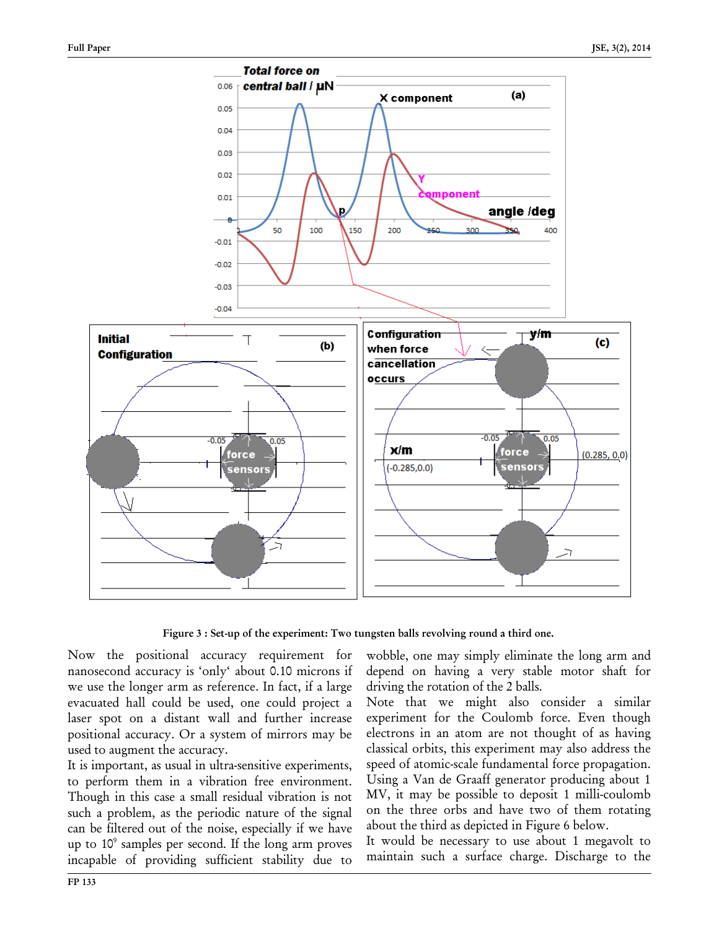

Figure 3 : Set-up of the experiment: Two tungsten balls revolving round a third one.

Now the positional accuracy requirement for nanosecond accuracy is 'only' about 0.10 microns if we use the longer arm as reference. In fact, if a large evacuated hall could be used, one could project a laser spot on a distant wall and further increase positional accuracy. Or a system of mirrors may be used to augment the accuracy.

It is important, as usual in ultra-sensitive experiments, to perform them in a vibration free environment. Though in this case a small residual vibration is not such a problem, as the periodic nature of the signal can be filtered out of the noise, especially if we have up to 109 samples per second. If the long arm proves incapable of providing sufficient stability due to

wobble, one may simply eliminate the long arm and depend on having a very stable motor shaft for driving the rotation of the 2 balls.

Note that we might also consider a similar experiment for the Coulomb force. Even though electrons in an atom are not thought of as having classical orbits, this experiment may also address the speed of atomic-scale fundamental force propagation. Using a Van de Graaff generator producing about 1 MV, it may be possible to deposit 1 milli-coulomb on the three orbs and have two of them rotating about the third as depicted in Figure 6 below.

It would be necessary to use about 1 megavolt to maintain such a surface charge. Discharge to the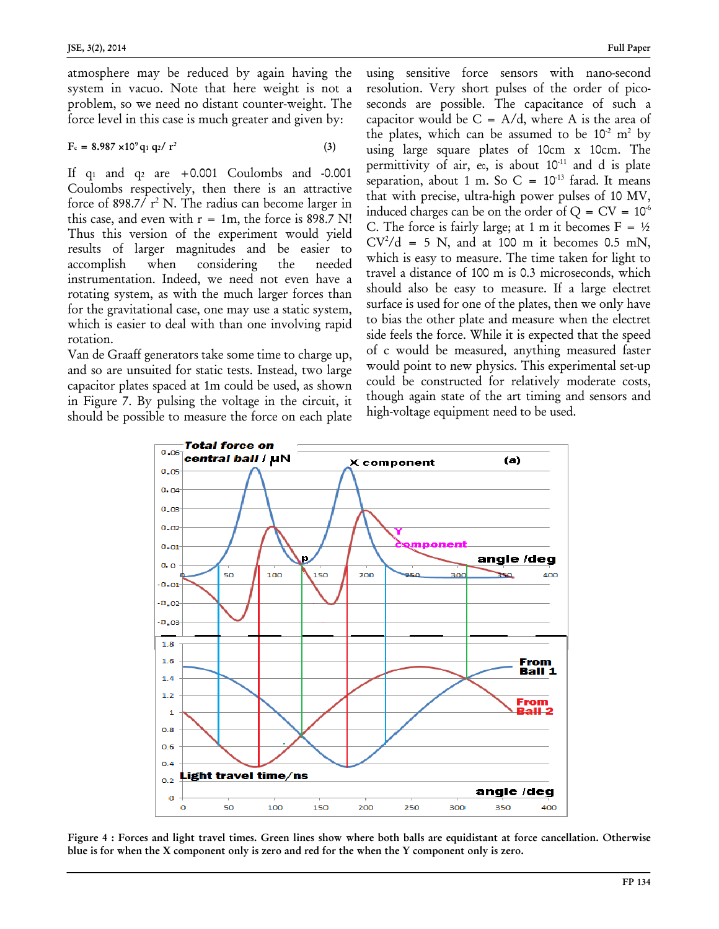atmosphere may be reduced by again having the system in vacuo. Note that here weight is not a problem, so we need no distant counter-weight. The force level in this case is much greater and given by:

$$
F_c = 8.987 \times 10^9 \,\mathrm{q_1} \,\mathrm{q_2} / \,\mathrm{r^2} \tag{3}
$$

If  $q_1$  and  $q_2$  are  $+0.001$  Coulombs and -0.001 Coulombs respectively, then there is an attractive force of 898.7/ $r^2$  N. The radius can become larger in this case, and even with  $r = 1m$ , the force is 898.7 N! Thus this version of the experiment would yield results of larger magnitudes and be easier to accomplish when considering the needed instrumentation. Indeed, we need not even have a rotating system, as with the much larger forces than for the gravitational case, one may use a static system, which is easier to deal with than one involving rapid rotation.

Van de Graaff generators take some time to charge up, and so are unsuited for static tests. Instead, two large capacitor plates spaced at 1m could be used, as shown in Figure 7. By pulsing the voltage in the circuit, it should be possible to measure the force on each plate using sensitive force sensors with nano-second resolution. Very short pulses of the order of picoseconds are possible. The capacitance of such a capacitor would be  $C = A/d$ , where A is the area of the plates, which can be assumed to be  $10^{-2}$  m<sup>2</sup> by using large square plates of 10cm x 10cm. The permittivity of air, eo, is about  $10^{-11}$  and d is plate separation, about 1 m. So C =  $10^{-13}$  farad. It means that with precise, ultra-high power pulses of 10 MV, induced charges can be on the order of  $Q = CV = 10<sup>6</sup>$ C. The force is fairly large; at 1 m it becomes  $F = \frac{1}{2}$  $CV^2/d = 5$  N, and at 100 m it becomes 0.5 mN, which is easy to measure. The time taken for light to travel a distance of 100 m is 0.3 microseconds, which should also be easy to measure. If a large electret surface is used for one of the plates, then we only have to bias the other plate and measure when the electret side feels the force. While it is expected that the speed of c would be measured, anything measured faster would point to new physics. This experimental set-up could be constructed for relatively moderate costs, though again state of the art timing and sensors and high-voltage equipment need to be used.



Figure 4 : Forces and light travel times. Green lines show where both balls are equidistant at force cancellation. Otherwise blue is for when the X component only is zero and red for the when the Y component only is zero.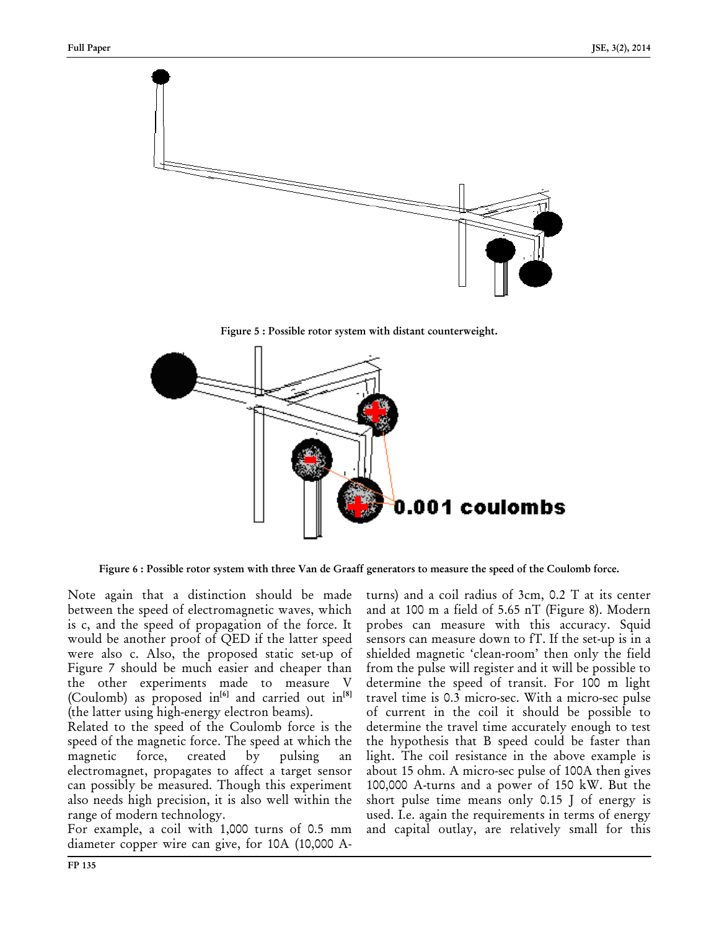

Figure 5 : Possible rotor system with distant counterweight.



Figure 6 : Possible rotor system with three Van de Graaff generators to measure the speed of the Coulomb force.

Note again that a distinction should be made between the speed of electromagnetic waves, which is c, and the speed of propagation of the force. It would be another proof of QED if the latter speed were also c. Also, the proposed static set-up of Figure 7 should be much easier and cheaper than the other experiments made to measure V (Coulomb) as proposed in<sup>[6]</sup> and carried out in<sup>[8]</sup> (the latter using high-energy electron beams).

Related to the speed of the Coulomb force is the speed of the magnetic force. The speed at which the magnetic force, created by pulsing an electromagnet, propagates to affect a target sensor can possibly be measured. Though this experiment also needs high precision, it is also well within the range of modern technology.

For example, a coil with 1,000 turns of 0.5 mm diameter copper wire can give, for 10A (10,000 A- turns) and a coil radius of 3cm, 0.2 T at its center and at 100 m a field of 5.65 nT (Figure 8). Modern probes can measure with this accuracy. Squid sensors can measure down to fT. If the set-up is in a shielded magnetic 'clean-room' then only the field from the pulse will register and it will be possible to determine the speed of transit. For 100 m light travel time is 0.3 micro-sec. With a micro-sec pulse of current in the coil it should be possible to determine the travel time accurately enough to test the hypothesis that B speed could be faster than light. The coil resistance in the above example is about 15 ohm. A micro-sec pulse of 100A then gives 100,000 A-turns and a power of 150 kW. But the short pulse time means only 0.15 J of energy is used. I.e. again the requirements in terms of energy and capital outlay, are relatively small for this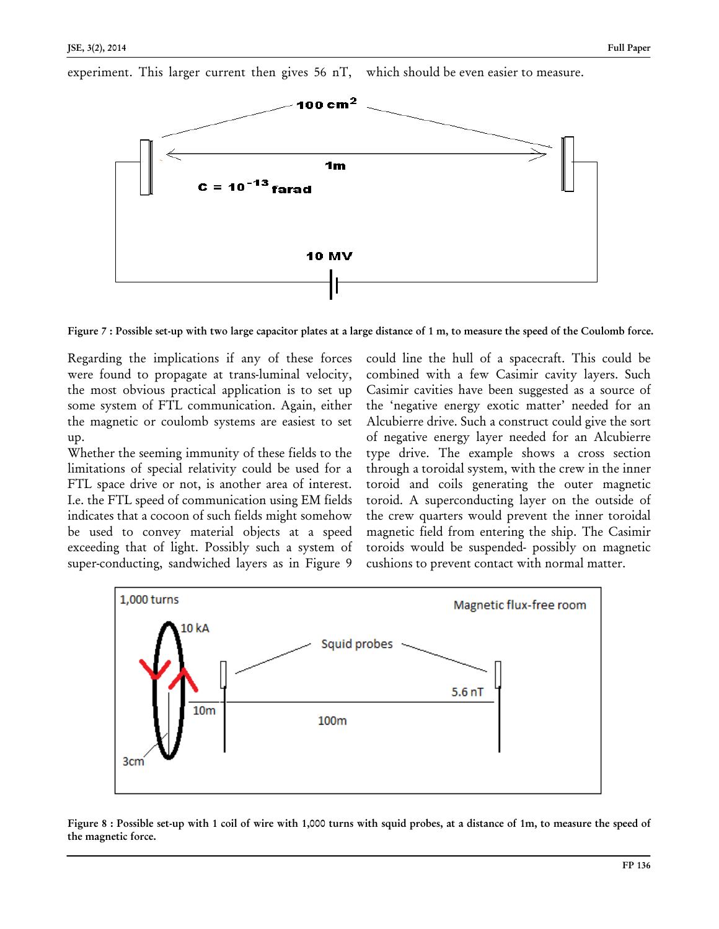experiment. This larger current then gives 56 nT, which should be even easier to measure.



Figure 7 : Possible set-up with two large capacitor plates at a large distance of 1 m, to measure the speed of the Coulomb force.

Regarding the implications if any of these forces were found to propagate at trans-luminal velocity, the most obvious practical application is to set up some system of FTL communication. Again, either the magnetic or coulomb systems are easiest to set up.

Whether the seeming immunity of these fields to the limitations of special relativity could be used for a FTL space drive or not, is another area of interest. I.e. the FTL speed of communication using EM fields indicates that a cocoon of such fields might somehow be used to convey material objects at a speed exceeding that of light. Possibly such a system of super-conducting, sandwiched layers as in Figure 9

could line the hull of a spacecraft. This could be combined with a few Casimir cavity layers. Such Casimir cavities have been suggested as a source of the 'negative energy exotic matter' needed for an Alcubierre drive. Such a construct could give the sort of negative energy layer needed for an Alcubierre type drive. The example shows a cross section through a toroidal system, with the crew in the inner toroid and coils generating the outer magnetic toroid. A superconducting layer on the outside of the crew quarters would prevent the inner toroidal magnetic field from entering the ship. The Casimir toroids would be suspended- possibly on magnetic cushions to prevent contact with normal matter.



Figure 8 : Possible set-up with 1 coil of wire with 1,000 turns with squid probes, at a distance of 1m, to measure the speed of the magnetic force.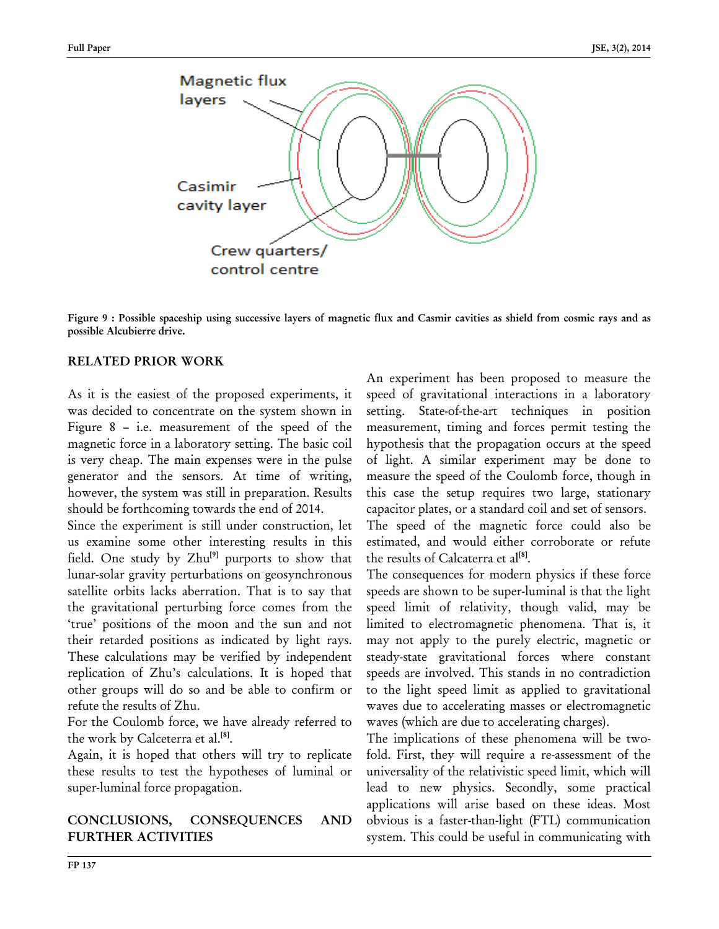

Figure 9 : Possible spaceship using successive layers of magnetic flux and Casmir cavities as shield from cosmic rays and as possible Alcubierre drive.

#### RELATED PRIOR WORK

As it is the easiest of the proposed experiments, it was decided to concentrate on the system shown in Figure 8 – i.e. measurement of the speed of the magnetic force in a laboratory setting. The basic coil is very cheap. The main expenses were in the pulse generator and the sensors. At time of writing, however, the system was still in preparation. Results should be forthcoming towards the end of 2014.

Since the experiment is still under construction, let us examine some other interesting results in this field. One study by  $Zhu^{[9]}$  purports to show that lunar-solar gravity perturbations on geosynchronous satellite orbits lacks aberration. That is to say that the gravitational perturbing force comes from the 'true' positions of the moon and the sun and not their retarded positions as indicated by light rays. These calculations may be verified by independent replication of Zhu's calculations. It is hoped that other groups will do so and be able to confirm or refute the results of Zhu.

For the Coulomb force, we have already referred to the work by Calceterra et al.<sup>[8]</sup>.

Again, it is hoped that others will try to replicate these results to test the hypotheses of luminal or super-luminal force propagation.

## CONCLUSIONS, CONSEQUENCES AND FURTHER ACTIVITIES

An experiment has been proposed to measure the speed of gravitational interactions in a laboratory setting. State-of-the-art techniques in position measurement, timing and forces permit testing the hypothesis that the propagation occurs at the speed of light. A similar experiment may be done to measure the speed of the Coulomb force, though in this case the setup requires two large, stationary capacitor plates, or a standard coil and set of sensors. The speed of the magnetic force could also be

estimated, and would either corroborate or refute the results of Calcaterra et al<sup>[8]</sup>.

The consequences for modern physics if these force speeds are shown to be super-luminal is that the light speed limit of relativity, though valid, may be limited to electromagnetic phenomena. That is, it may not apply to the purely electric, magnetic or steady-state gravitational forces where constant speeds are involved. This stands in no contradiction to the light speed limit as applied to gravitational waves due to accelerating masses or electromagnetic waves (which are due to accelerating charges).

The implications of these phenomena will be twofold. First, they will require a re-assessment of the universality of the relativistic speed limit, which will lead to new physics. Secondly, some practical applications will arise based on these ideas. Most obvious is a faster-than-light (FTL) communication system. This could be useful in communicating with